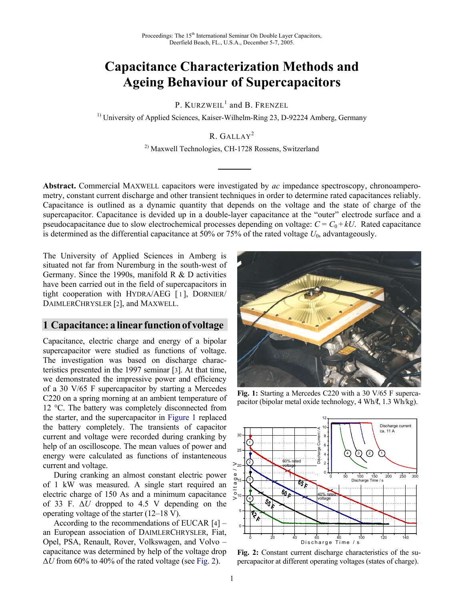# **Capacitance Characterization Methods and Ageing Behaviour of Supercapacitors**

P. KURZWEIL<sup>1</sup> and B. FRENZEL

<sup>1)</sup> University of Applied Sciences, Kaiser-Wilhelm-Ring 23, D-92224 Amberg, Germany

## R. GALLAY<sup>2</sup>

2) Maxwell Technologies, CH-1728 Rossens, Switzerland

**Abstract.** Commercial MAXWELL capacitors were investigated by *ac* impedance spectroscopy, chronoamperometry, constant current discharge and other transient techniques in order to determine rated capacitances reliably. Capacitance is outlined as a dynamic quantity that depends on the voltage and the state of charge of the supercapacitor. Capacitance is devided up in a double-layer capacitance at the "outer" electrode surface and a pseudocapacitance due to slow electrochemical processes depending on voltage:  $C = C_0 + kU$ . Rated capacitance is determined as the differential capacitance at  $50\%$  or  $75\%$  of the rated voltage  $U_0$ , advantageously.

The University of Applied Sciences in Amberg is situated not far from Nuremburg in the south-west of Germany. Since the 1990s, manifold R & D activities have been carried out in the field of supercapacitors in tight cooperation with HYDRA/AEG [ 1 ], DORNIER/ DAIMLERCHRYSLER [2], and MAXWELL.

### **1 Capacitance: a linear functionof voltage**

Capacitance, electric charge and energy of a bipolar supercapacitor were studied as functions of voltage. The investigation was based on discharge characteristics presented in the 1997 seminar [3]. At that time, we demonstrated the impressive power and efficiency of a 30 V/65 F supercapacitor by starting a Mercedes C220 on a spring morning at an ambient temperature of 12 °C. The battery was completely disconnected from the starter, and the supercapacitor in Figure 1 replaced the battery completely. The transients of capacitor current and voltage were recorded during cranking by help of an oscilloscope. The mean values of power and energy were calculated as functions of instanteneous current and voltage.

 During cranking an almost constant electric power of 1 kW was measured. A single start required an electric charge of 150 As and a minimum capacitance of 33 F. ∆*U* dropped to 4.5 V depending on the operating voltage of the starter (12–18 V).

 According to the recommendations of EUCAR [4] – an European association of DAIMLERCHRYSLER, Fiat, Opel, PSA, Renault, Rover, Volkswagen, and Volvo – capacitance was determined by help of the voltage drop ∆*U* from 60% to 40% of the rated voltage (see Fig. 2).



**Fig. 1:** Starting a Mercedes C220 with a 30 V/65 F supercapacitor (bipolar metal oxide technology, 4 Wh/ℓ, 1.3 Wh/kg).



**Fig. 2:** Constant current discharge characteristics of the su-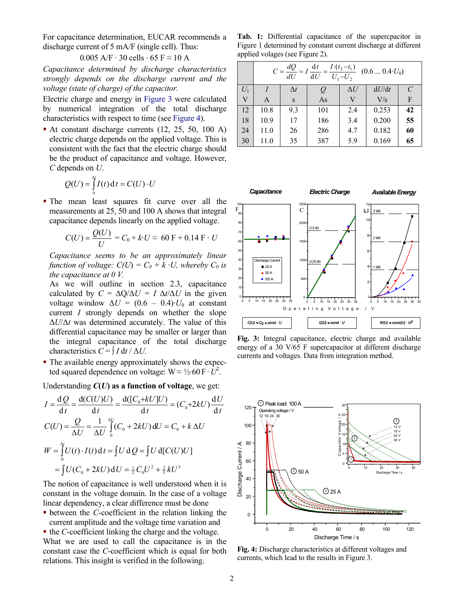For capacitance determination, EUCAR recommends a discharge current of 5 mA/F (single cell). Thus:

$$
0.005 \text{ A/F} \cdot 30 \text{ cells} \cdot 65 \text{ F} \approx 10 \text{ A}
$$

*Capacitance determined by discharge characteristics strongly depends on the discharge current and the voltage (state of charge) of the capacitor.* 

Electric charge and energy in Figure 3 were calculated by numerical integration of the total discharge characteristics with respect to time (see Figure 4).

At constant discharge currents (12, 25, 50, 100 A) electric charge depends on the applied voltage. This is consistent with the fact that the electric charge should be the product of capacitance and voltage. However, *C* depends on *U*.

$$
Q(U) = \int_{0}^{\Delta t} I(t) dt = C(U) \cdot U
$$

 The mean least squares fit curve over all the measurements at 25, 50 and 100 A shows that integral capacitance depends linearly on the applied voltage.

$$
C(U) = \frac{Q(U)}{U} = C_0 + kU \approx 60 \text{ F} + 0.14 \text{ F} \cdot U
$$

*Capacitance seems to be an approximately linear function of voltage:*  $C(U) = C_0 + k \cdot U$ , whereby  $C_0$  is *the capacitance at 0 V.* 

As we will outline in section 2.3, capacitance calculated by  $C = \Delta Q / \Delta U = I \Delta t / \Delta U$  in the given voltage window  $\Delta U = (0.6 - 0.4) \cdot U_0$  at constant current *I* strongly depends on whether the slope ∆*U*/∆*t* was determined accurately. The value of this differential capacitance may be smaller or larger than the integral capacitance of the total discharge characteristics  $C = \int I dt / \Delta U$ .

• The available energy approximately shows the expected squared dependence on voltage:  $W \approx \frac{1}{2} \cdot 60 \text{ F} \cdot \hat{U}^2$ .

Understanding *C***(***U***) as a function of voltage**, we get:

$$
I = \frac{dQ}{dt} = \frac{d(C(U)U)}{dt} = \frac{d([C_0 + kU]U)}{dt} = (C_0 + 2kU)\frac{dU}{dt}
$$
  
\n
$$
C(U) = \frac{Q}{\Delta U} = \frac{1}{\Delta U} \int_{0}^{N} (C_0 + 2kU) dU = C_0 + k \Delta U
$$
  
\n
$$
W = \int_{0}^{N} U(t) \cdot I(t) dt = \int U dQ = \int U d[C(U)U]
$$
  
\n
$$
= \int U(C_0 + 2kU) dU = \frac{1}{2} C_0 U^2 + \frac{2}{3} kU^3
$$

The notion of capacitance is well understood when it is constant in the voltage domain. In the case of a voltage linear dependency, a clear difference must be done

 between the *C*-coefficient in the relation linking the current amplitude and the voltage time variation and

■ the *C*-coefficient linking the charge and the voltage. What we are used to call the capacitance is in the constant case the *C*-coefficient which is equal for both relations. This insight is verified in the following.

**Tab. 1:** Differential capacitance of the supercpacitor in Figure 1 determined by constant current discharge at different applied volages (see Figure 2).

|                         | $\frac{I \cdot (t_2 - t_1)}{U_1 - U_2}$ (0.6  0.4 $U_0$ )<br>dt<br>$C = \frac{dQ}{dU}$<br>dU |            |     |            |       |    |  |
|-------------------------|----------------------------------------------------------------------------------------------|------------|-----|------------|-------|----|--|
| $U_1$                   |                                                                                              | $\Delta t$ |     | $\Delta U$ | dU/dt | C  |  |
| $\overline{\mathsf{V}}$ | A                                                                                            | S          | As  | V          | V/s   | F  |  |
| 12                      | 10.8                                                                                         | 9.3        | 101 | 2.4        | 0.253 | 42 |  |
| 18                      | 10.9                                                                                         | 17         | 186 | 3.4        | 0.200 | 55 |  |
| 24                      | 11.0                                                                                         | 26         | 286 | 4.7        | 0.182 | 60 |  |
| 30                      | 11.0                                                                                         | 35         | 387 | 5.9        | 0.169 | 65 |  |



**Fig. 3:** Integral capacitance, electric charge and available energy of a 30 V/65 F supercapacitor at different discharge currents and voltages. Data from integration method.



**Fig. 4:** Discharge characteristics at different voltages and currents, which lead to the results in Figure 3.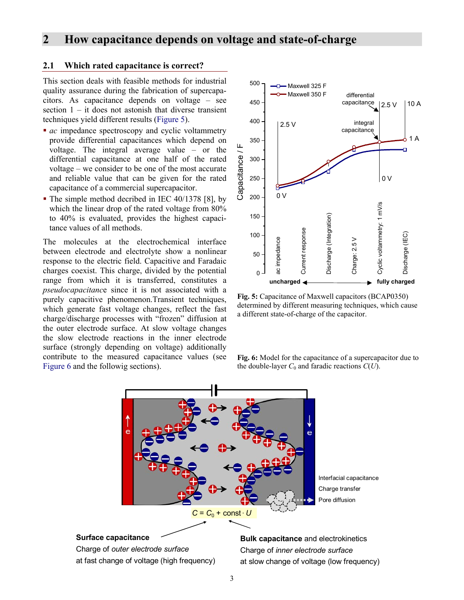## **2 How capacitance depends on voltage and state-of-charge**

#### **2.1 Which rated capacitance is correct?**

This section deals with feasible methods for industrial quality assurance during the fabrication of supercapacitors. As capacitance depends on voltage – see section  $1 - it$  does not astonish that diverse transient techniques yield different results (Figure 5).

- *ac* impedance spectroscopy and cyclic voltammetry provide differential capacitances which depend on voltage. The integral average value – or the differential capacitance at one half of the rated voltage – we consider to be one of the most accurate and reliable value that can be given for the rated capacitance of a commercial supercapacitor.
- The simple method decribed in IEC 40/1378 [8], by which the linear drop of the rated voltage from 80% to 40% is evaluated, provides the highest capacitance values of all methods.

The molecules at the electrochemical interface between electrode and electrolyte show a nonlinear response to the electric field. Capacitive and Faradaic charges coexist. This charge, divided by the potential range from which it is transferred, constitutes a *pseudocapacitanc*e since it is not associated with a purely capacitive phenomenon.Transient techniques, which generate fast voltage changes, reflect the fast charge/discharge processes with "frozen" diffusion at the outer electrode surface. At slow voltage changes the slow electrode reactions in the inner electrode surface (strongly depending on voltage) additionally contribute to the measured capacitance values (see Figure 6 and the followig sections).



**Fig. 5:** Capacitance of Maxwell capacitors (BCAP0350) determined by different measuring techniques, which cause a different state-of-charge of the capacitor.

**Fig. 6:** Model for the capacitance of a supercapacitor due to the double-layer  $C_0$  and faradic reactions  $C(U)$ .



3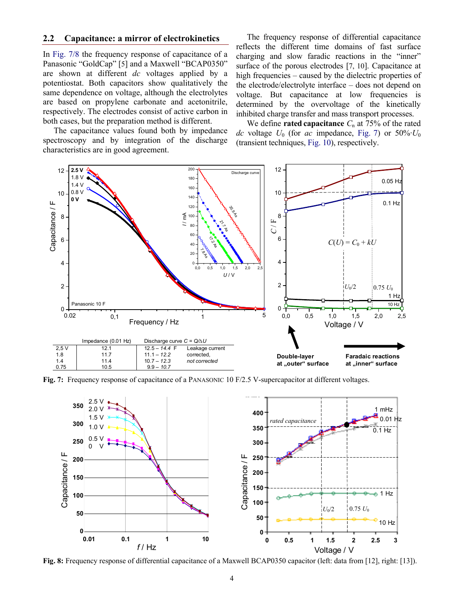#### **2.2 Capacitance: a mirror of electrokinetics**

In Fig. 7/8 the frequency response of capacitance of a Panasonic "GoldCap" [5] and a Maxwell "BCAP0350" are shown at different *dc* voltages applied by a potentiostat. Both capacitors show qualitatively the same dependence on voltage, although the electrolytes are based on propylene carbonate and acetonitrile, respectively. The electrodes consist of active carbon in both cases, but the preparation method is different.

 The capacitance values found both by impedance spectroscopy and by integration of the discharge characteristics are in good agreement.

The frequency response of differential capacitance reflects the different time domains of fast surface charging and slow faradic reactions in the "inner" surface of the porous electrodes [7, 10]. Capacitance at high frequencies – caused by the dielectric properties of the electrode/electrolyte interface – does not depend on voltage. But capacitance at low frequencies is determined by the overvoltage of the kinetically inhibited charge transfer and mass transport processes.

We define **rated capacitance**  $C_n$  at 75% of the rated *dc* voltage  $U_0$  (for *ac* impedance, Fig. 7) or 50%· $U_0$ (transient techniques, Fig. 10), respectively.



**Fig. 7:** Frequency response of capacitance of a PANASONIC 10 F/2.5 V-supercapacitor at different voltages.



**Fig. 8:** Frequency response of differential capacitance of a Maxwell BCAP0350 capacitor (left: data from [12], right: [13]).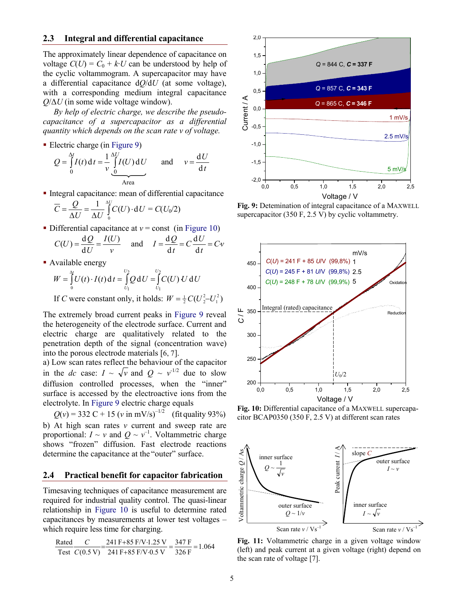#### **2.3 Integral and differential capacitance**

The approximately linear dependence of capacitance on voltage  $C(U) = C_0 + k \cdot U$  can be understood by help of the cyclic voltammogram. A supercapacitor may have a differential capacitance d*Q*/d*U* (at some voltage), with a corresponding medium integral capacitance *Q*/∆*U* (in some wide voltage window).

*By help of electric charge, we describe the pseudocapacitance of a supercapacitor as a differential quantity which depends on the scan rate v of voltage.* 

Electric charge (in Figure 9)

$$
Q = \int_{0}^{\Delta t} I(t) dt = \frac{1}{\nu} \int_{0}^{\Delta U} I(U) dU \quad \text{and} \quad \nu = \frac{dU}{dt}
$$

- Integral capacitance: mean of differential capacitance  $=\frac{Q}{\Delta U}=\frac{1}{\Delta U}\int_{0}^{\Delta U}C(U)\cdot dU$ *U U*  $\overline{C} = \frac{Q}{\sqrt{2}}$  $\boldsymbol{0}$  $\frac{1}{\pi} \int_{0}^{M} C(U) \cdot dU = C(U_0/2)$
- Differential capacitance at  $v =$  const (in Figure 10)  $C(U) = \frac{\mathrm{d} Q}{\mathrm{d} U} = \frac{I(U)}{I(U)}$

$$
C(U) = \frac{dQ}{dU} = \frac{I(U)}{v} \quad \text{and} \quad I = \frac{dQ}{dt} = C\frac{dU}{dt} = Cv
$$

• Available energy

$$
W = \int_{0}^{M} U(t) \cdot I(t) dt = \int_{U_1}^{U_2} Q dU = \int_{U_1}^{U_2} C(U) U dU
$$

If *C* were constant only, it holds:  $W = \frac{1}{2}C(U_2^2-U_1^2)$ 

The extremely broad current peaks in Figure 9 reveal the heterogeneity of the electrode surface. Current and electric charge are qualitatively related to the penetration depth of the signal (concentration wave) into the porous electrode materials [6, 7].

a) Low scan rates reflect the behaviour of the capacitor in the *dc* case:  $I \sim \sqrt{v}$  and  $Q \sim v^{-1/2}$  due to slow diffusion controlled processes, when the "inner" surface is accessed by the electroactive ions from the electrolyte. In Figure 9 electric charge equals

 $Q(v) = 332 \text{ C} + 15 \text{ (}v \text{ in } \text{mV/s})^{-1/2} \text{ (fit quality 93%)}$ b) At high scan rates *v* current and sweep rate are proportional:  $I \sim v$  and  $Q \sim v^{-1}$ . Voltammetric charge shows "frozen" diffusion. Fast electrode reactions determine the capacitance at the "outer" surface.

#### **2.4 Practical benefit for capacitor fabrication**

Timesaving techniques of capacitance measurement are required for industrial quality control. The quasi-linear relationship in Figure 10 is useful to determine rated capacitances by measurements at lower test voltages – which require less time for charging.

$$
\frac{\text{Rated}}{\text{Test}} \frac{C}{C(0.5 \text{ V})} = \frac{241 \text{ F} + 85 \text{ F/V} \cdot 1.25 \text{ V}}{241 \text{ F} + 85 \text{ F/V} \cdot 0.5 \text{ V}} = \frac{347 \text{ F}}{326 \text{ F}} = 1.064
$$



**Fig. 9:** Detemination of integral capacitance of a MAXWELL supercapacitor (350 F, 2.5 V) by cyclic voltammetry.



**Fig. 10:** Differential capacitance of a MAXWELL supercapacitor BCAP0350 (350 F, 2.5 V) at different scan rates



**Fig. 11:** Voltammetric charge in a given voltage window (left) and peak current at a given voltage (right) depend on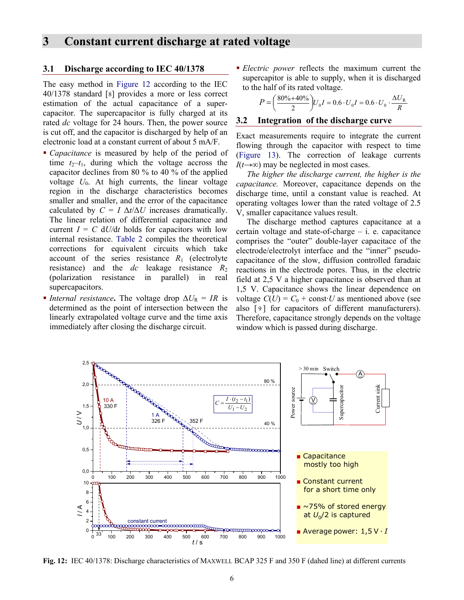## **3 Constant current discharge at rated voltage**

#### **3.1 Discharge according to IEC 40/1378**

The easy method in Figure 12 according to the IEC 40/1378 standard [8] provides a more or less correct estimation of the actual capacitance of a supercapacitor. The supercapacitor is fully charged at its rated *dc* voltage for 24 hours. Then, the power source is cut off, and the capacitor is discharged by help of an electronic load at a constant current of about 5 mA/F.

- *Capacitance* is measured by help of the period of time  $t_2-t_1$ , during which the voltage accross the capacitor declines from 80 % to 40 % of the applied voltage  $U_0$ . At high currents, the linear voltage region in the discharge characteristics becomes smaller and smaller, and the error of the capacitance calculated by  $C = I \Delta t / \Delta U$  increases dramatically. The linear relation of differential capacitance and current  $I = C dU/dt$  holds for capacitors with low internal resistance. Table 2 compiles the theoretical corrections for equivalent circuits which take account of the series resistance  $R_1$  (electrolyte resistance) and the  $dc$  leakage resistance  $R_2$ (polarization resistance in parallel) in real supercapacitors.
- *Internal resistance*. The voltage drop  $\Delta U_R = IR$  is determined as the point of intersection between the linearly extrapolated voltage curve and the time axis immediately after closing the discharge circuit.

 *Electric power* reflects the maximum current the supercapitor is able to supply, when it is discharged to the half of its rated voltage.

$$
P = \left(\frac{80\% + 40\%}{2}\right)U_0I = 0.6 \cdot U_0I = 0.6 \cdot U_0 \cdot \frac{\Delta U_R}{R}
$$

#### **3.2 Integration of the discharge curve**

Exact measurements require to integrate the current flowing through the capacitor with respect to time (Figure 13). The correction of leakage currents *I*(*t*→∞) may be neglected in most cases.

 *The higher the discharge current, the higher is the capacitance.* Moreover, capacitance depends on the discharge time, until a constant value is reached. At operating voltages lower than the rated voltage of 2.5 V, smaller capacitance values result.

 The discharge method captures capacitance at a certain voltage and state-of-charge – i. e. capacitance comprises the "outer" double-layer capacitace of the electrode/electrolyt interface and the "inner" pseudocapacitance of the slow, diffusion controlled faradaic reactions in the electrode pores. Thus, in the electric field at 2,5 V a higher capacitance is observed than at 1,5 V. Capacitance shows the linear dependence on voltage  $C(U) = C_0 + \text{const} \cdot U$  as mentioned above (see also [9] for capacitors of different manufacturers). Therefore, capacitance strongly depends on the voltage window which is passed during discharge.



**Fig. 12:** IEC 40/1378: Discharge characteristics of MAXWELL BCAP 325 F and 350 F (dahed line) at different currents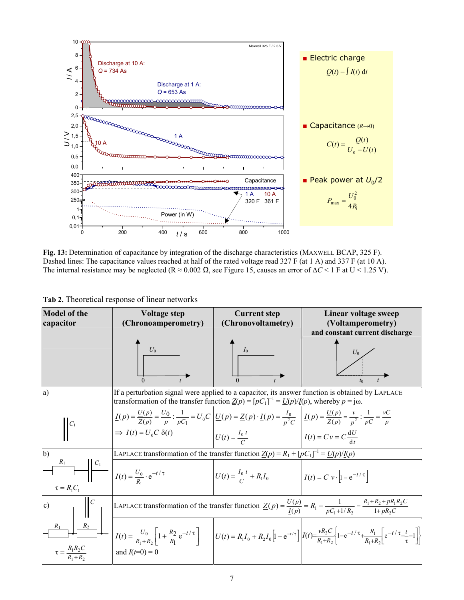

**Fig. 13:** Determination of capacitance by integration of the discharge characteristics (MAXWELL BCAP, 325 F). Dashed lines: The capacitance values reached at half of the rated voltage read 327 F (at 1 A) and 337 F (at 10 A). The internal resistance may be neglected (R ≈ 0.002 Ω, see Figure 15, causes an error of ∆*C* < 1 F at U < 1.25 V).

| Tab 2. Theoretical response of linear networks |  |  |
|------------------------------------------------|--|--|
|------------------------------------------------|--|--|

| <b>Model of the</b><br>capacitor                                                                                    | <b>Voltage step</b><br>(Chronoamperometry)                                                                                                                                                                                                                                                                                                                                        | <b>Current step</b><br>(Chronovoltametry)                               | Linear voltage sweep<br>(Voltamperometry)<br>and constant current discharge                                                                                                                                                                                                                     |  |  |  |
|---------------------------------------------------------------------------------------------------------------------|-----------------------------------------------------------------------------------------------------------------------------------------------------------------------------------------------------------------------------------------------------------------------------------------------------------------------------------------------------------------------------------|-------------------------------------------------------------------------|-------------------------------------------------------------------------------------------------------------------------------------------------------------------------------------------------------------------------------------------------------------------------------------------------|--|--|--|
|                                                                                                                     | $U_0$<br>$\Omega$                                                                                                                                                                                                                                                                                                                                                                 | $I_0$                                                                   |                                                                                                                                                                                                                                                                                                 |  |  |  |
| a)                                                                                                                  | If a perturbation signal were applied to a capacitor, its answer function is obtained by LAPLACE<br>transformation of the transfer function $Z(p) = [pC_1]^{-1} = U(p)/I(p)$ , whereby $p = j\omega$ .                                                                                                                                                                            |                                                                         |                                                                                                                                                                                                                                                                                                 |  |  |  |
|                                                                                                                     | $\underline{I(p)} = \frac{U(p)}{\underline{Z(p)}} = \frac{U_0}{p}$ : $\frac{1}{pC_1} = U_0 C$ $\underline{U(p)} = \underline{Z(p)} \cdot \underline{I(p)} = \frac{I_0}{p^2 C}$ $\underline{I(p)} = \frac{U(p)}{\underline{Z(p)}} = \frac{v}{p^2}$ : $\frac{1}{pC} = \frac{vC}{p}$<br>$\Rightarrow I(t) = U_0 C \delta(t)$ $U(t) = \frac{I_0 t}{C}$ $I(t) = C v = C \frac{dU}{dt}$ |                                                                         |                                                                                                                                                                                                                                                                                                 |  |  |  |
|                                                                                                                     |                                                                                                                                                                                                                                                                                                                                                                                   |                                                                         |                                                                                                                                                                                                                                                                                                 |  |  |  |
| b)                                                                                                                  | LAPLACE transformation of the transfer function $Z(p) = R_1 + [pC_1]^{-1} = U(p)/I(p)$                                                                                                                                                                                                                                                                                            |                                                                         |                                                                                                                                                                                                                                                                                                 |  |  |  |
| $\begin{array}{c c} R_1 & C_1 \\ \hline & I(t) = \frac{U_0}{R_1} \cdot e^{-t/\tau} \end{array}$<br>$\tau = R_1 C_1$ |                                                                                                                                                                                                                                                                                                                                                                                   | $U(t) = \frac{I_0 t}{C} + R_1 I_0$ $I(t) = C v \cdot  1 - e^{-t/\tau} $ |                                                                                                                                                                                                                                                                                                 |  |  |  |
| c)                                                                                                                  | LAPLACE transformation of the transfer function $\underline{Z}(p) = \frac{U(p)}{I(p)} = R_1 + \frac{1}{pC_1 + 1/R_2} = \frac{R_1 + R_2 + pR_1R_2C}{1 + pR_2C}$                                                                                                                                                                                                                    |                                                                         |                                                                                                                                                                                                                                                                                                 |  |  |  |
| R <sub>2</sub><br>$R_1$                                                                                             |                                                                                                                                                                                                                                                                                                                                                                                   |                                                                         | $I(t) = \frac{U_0}{R_1 + R_2} \left[ 1 + \frac{R_2}{R_1} e^{-t/\tau} \right]$ $\left  U(t) = R_1 I_0 + R_2 I_0 \left[ 1 - e^{-t/\tau} \right] \right  I(t) = \frac{vR_2 C}{R_1 + R_2} \left\{ 1 - e^{-t/\tau} + \frac{R_1}{R_1 + R_2} \left[ e^{-t/\tau} + \frac{t}{\tau} - 1 \right] \right\}$ |  |  |  |
|                                                                                                                     | and $I(t=0) = 0$                                                                                                                                                                                                                                                                                                                                                                  |                                                                         |                                                                                                                                                                                                                                                                                                 |  |  |  |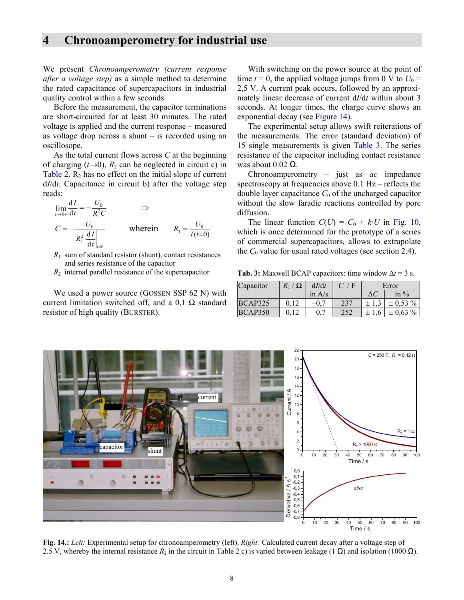## **4 Chronoamperometry for industrial use**

We present *Chronoamperometry (current response after a voltage step)* as a simple method to determine the rated capacitance of supercapacitors in industrial quality control within a few seconds.

 Before the measurement, the capacitor terminations are short-circuited for at least 30 minutes. The rated voltage is applied and the current response – measured as voltage drop across a shunt – is recorded using an oscillosope.

 As the total current flows across *C* at the beginning of charging  $(t\rightarrow 0)$ ,  $R_2$  can be neglected in circuit c) in Table 2.  $R_2$  has no effect on the initial slope of current d*I*/d*t*. Capacitance in circuit b) after the voltage step reads:

$$
\lim_{t \to 0+} \frac{dI}{dt} = -\frac{U_0}{R_1^2 C} \implies
$$
\n
$$
C = -\frac{U_0}{R_1^2 \cdot \frac{dI}{dt}\Big|_{t=0}} \text{ where in } R_1 = \frac{U_0}{I(t=0)}
$$

- $R_1$  sum of standard resistor (shunt), contact resistances and series resistance of the capacitor
- $R_2$  internal parallel resistance of the supercapacitor

We used a power source (GOSSEN SSP 62 N) with current limitation switched off, and a  $0,1$   $\Omega$  standard resistor of high quality (BURSTER).

 With switching on the power source at the point of time  $t = 0$ , the applied voltage jumps from 0 V to  $U_0 =$ 2,5 V. A current peak occurs, followed by an approximately linear decrease of current d*I*/d*t* within about 3 seconds. At longer times, the charge curve shows an exponential decay (see Figure 14).

 The experimental setup allows swift reiterations of the measurements. The error (standard deviation) of 15 single measurements is given Table 3. The series resistance of the capacitor including contact resistance was about  $0.02 \Omega$ .

 Chronoamperometry – just as *ac* impedance spectroscopy at frequencies above 0.1 Hz – reflects the double layer capacitance  $C_0$  of the uncharged capacitor without the slow faradic reactions controlled by pore diffusion.

The linear function  $C(U) = C_0 + k \cdot U$  in Fig. 10, which is once determined for the prototype of a series of commercial supercapacitors, allows to extrapolate the  $C_0$  value for usual rated voltages (see section 2.4).

**Tab. 3:** Maxwell BCAP capacitors: time window ∆*t* = 3 s.

| Capacitor      | $\Omega$<br>$R_1/$ | dI/dt    | / F | Error     |               |
|----------------|--------------------|----------|-----|-----------|---------------|
|                |                    | in $A/s$ |     | ΔC        | in $\%$       |
| <b>BCAP325</b> | 0.12               |          | 237 | $\pm$ 1.3 | $\pm$ 0.53 %  |
| BCAP350        |                    |          | 252 | 6         | $\pm 0.63 \%$ |



**Fig. 14.:** *Left:* Experimental setup for chronoamperometry (left). *Right:* Calculated current decay after a voltage step of 2.5 V, whereby the internal resistance  $R_2$  in the circuit in Table 2 c) is varied between leakage (1  $\Omega$ ) and isolation (1000  $\Omega$ ).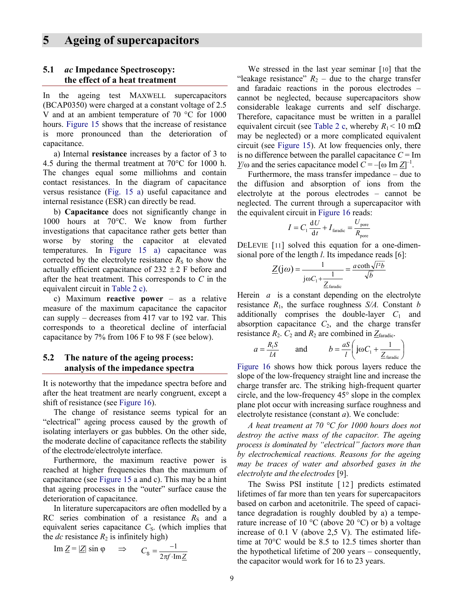## **5 Ageing of supercapacitors**

#### **5.1** *ac* **Impedance Spectroscopy: the effect of a heat treatment**

In the ageing test MAXWELL supercapacitors (BCAP0350) were charged at a constant voltage of 2.5 V and at an ambient temperature of 70 °C for 1000 hours. Figure 15 shows that the increase of resistance is more pronounced than the deterioration of capacitance.

 a) Internal **resistance** increases by a factor of 3 to 4.5 during the thermal treatment at 70°C for 1000 h. The changes equal some milliohms and contain contact resistances. In the diagram of capacitance versus resistance (Fig. 15 a) useful capacitance and internal resistance (ESR) can directly be read.

b) **Capacitance** does not significantly change in 1000 hours at 70°C. We know from further investigations that capacitance rather gets better than worse by storing the capacitor at elevated temperatures. In Figure 15 a) capacitance was corrected by the electrolyte resistance  $R<sub>S</sub>$  to show the actually efficient capacitance of  $232 \pm 2$  F before and after the heat treatment. This corresponds to *C* in the equivalent circuit in Table 2 c).

 c) Maximum **reactive power** – as a relative measure of the maximum capacitance the capacitor can supply – decreases from 417 var to 192 var. This corresponds to a theoretical decline of interfacial capacitance by 7% from 106 F to 98 F (see below).

#### **5.2 The nature of the ageing process: analysis of the impedance spectra**

It is noteworthy that the impedance spectra before and after the heat treatment are nearly congruent, except a shift of resistance (see Figure 16).

 The change of resistance seems typical for an "electrical" ageing process caused by the growth of isolating interlayers or gas bubbles. On the other side, the moderate decline of capacitance reflects the stability of the electrode/electrolyte interface.

 Furthermore, the maximum reactive power is reached at higher frequencies than the maximum of capacitance (see Figure 15 a and c). This may be a hint that ageing processes in the "outer" surface cause the deterioration of capacitance.

 In literature supercapacitors are often modelled by a RC series combination of a resistance  $R<sub>S</sub>$  and a equivalent series capacitance  $C<sub>S</sub>$ . (which implies that the  $dc$  resistance  $R_2$  is infinitely high)

Im 
$$
\underline{Z}
$$
 =  $|\underline{Z}| \sin \varphi \implies C_s = \frac{-1}{2\pi f \cdot \text{Im } \underline{Z}}$ 

 We stressed in the last year seminar [10] that the "leakage resistance"  $R_2$  – due to the charge transfer and faradaic reactions in the porous electrodes – cannot be neglected, because supercapacitors show considerable leakage currents and self discharge. Therefore, capacitance must be written in a parallel equivalent circuit (see Table 2 c, whereby  $R_1 < 10$  m $\Omega$ ) may be neglected) or a more complicated equivalent circuit (see Figure 15). At low frequencies only, there is no difference between the parallel capacitance  $C = Im$ *Y*/ω and the series capacitance model  $\hat{C} = -[\omega \text{ Im } \underline{Z}]^{-1}$ .

 Furthermore, the mass transfer impedance – due to the diffusion and absorption of ions from the electrolyte at the porous electrodes – cannot be neglected. The current through a supercapacitor with the equivalent circuit in Figure 16 reads:

$$
I = C_1 \frac{\mathrm{d}U}{\mathrm{d}t} + I_{\text{faradic}} = \frac{U_{\text{pore}}}{R_{\text{pore}}}
$$

DELEVIE [11] solved this equation for a one-dimensional pore of the length *l*. Its impedance reads [6]:

$$
\underline{Z(j\omega)} = \frac{1}{j\omega C_1 + \frac{1}{\underline{Z}_{\text{faradic}}}} = \frac{a\coth\sqrt{l^2b}}{\sqrt{b}}
$$

Herein *a* is a constant depending on the electrolyte resistance  $R_1$ , the surface roughness  $S/A$ . Constant *b* additionally comprises the double-layer  $C_1$  and absorption capacitance  $C_2$ , and the charge transfer resistance  $R_2$ .  $C_2$  and  $R_2$  are combined in  $Z_{\text{faradic}}$ .

$$
a = \frac{R_1 S}{lA}
$$
 and  $b = \frac{aS}{l} \left( j\omega C_1 + \frac{1}{Z_{\text{fradiic}}} \right)$ 

Figure 16 shows how thick porous layers reduce the slope of the low-frequency straight line and increase the charge transfer arc. The striking high-frequent quarter circle, and the low-frequency 45° slope in the complex plane plot occur with increasing surface roughness and electrolyte resistance (constant *a*). We conclude:

*A heat treament at 70 °C for 1000 hours does not destroy the active mass of the capacitor. The ageing process is dominated by "electrical" factors more than by electrochemical reactions. Reasons for the ageing may be traces of water and absorbed gases in the electrolyte and the electrodes* [9].

The Swiss PSI institute [12] predicts estimated lifetimes of far more than ten years for supercapacitors based on carbon and acetonitrile. The speed of capacitance degradation is roughly doubled by a) a temperature increase of 10  $\rm{^{\circ}C}$  (above 20  $\rm{^{\circ}C}$ ) or b) a voltage increase of  $0.1$  V (above  $2.5$  V). The estimated lifetime at 70°C would be 8.5 to 12.5 times shorter than the hypothetical lifetime of 200 years – consequently, the capacitor would work for 16 to 23 years.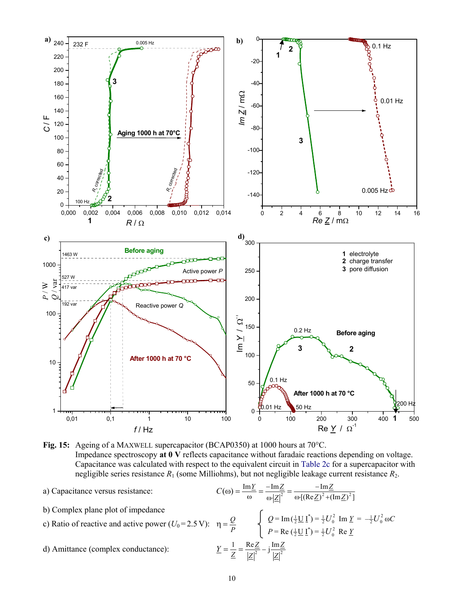

**Fig. 15:** Ageing of a MAXWELL supercapacitor (BCAP0350) at 1000 hours at 70°C. Impedance spectroscopy **at 0 V** reflects capacitance without faradaic reactions depending on voltage. Capacitance was calculated with respect to the equivalent circuit in Table 2c for a supercapacitor with negligible series resistance *R*1 (some Milliohms), but not negligible leakage current resistance *R*2.

- a) Capacitance versus resistance:
- b) Complex plane plot of impedance

c) Ratio of reactive and active power (
$$
U_0
$$
=2.5 V):  $\eta = \frac{Q}{P}$ 

d) Amittance (complex conductance):

$$
C(\omega) = \frac{\text{Im}\,\underline{Y}}{\omega} = \frac{-\text{Im}\,\underline{Z}}{\omega \cdot |\underline{Z}|^2} = \frac{-\text{Im}\,\underline{Z}}{\omega \cdot [(\text{Re}\,\underline{Z})^2 + (\text{Im}\,\underline{Z})^2]}
$$

$$
\eta = \frac{Q}{P} \qquad \begin{cases} Q = \text{Im}\,(\frac{1}{2}\,\underline{U}\,\underline{I}^*) = \frac{1}{2}U_0^2 & \text{Im}\,\,\underline{Y} = -\frac{1}{2}U_0^2\\ P = \text{Re}\,(\frac{1}{2}\,\underline{U}\,\underline{I}^*) = \frac{1}{2}U_0^2 & \text{Re}\,\,\underline{Y} \end{cases}
$$

$$
\underline{Y} = \frac{1}{Z} = \frac{\text{Re}\,\underline{Z}}{|Z|^2} - j\frac{\text{Im}\,\underline{Z}}{|Z|^2}
$$

 $\omega C$ 

*Z*

*Z*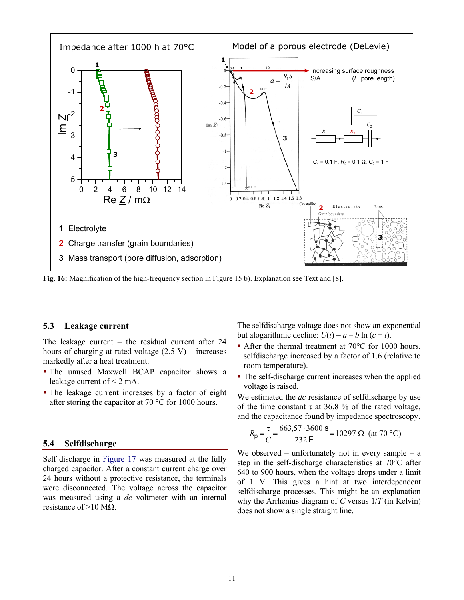

**Fig. 16:** Magnification of the high-frequency section in Figure 15 b). Explanation see Text and [8].

#### **5.3 Leakage current**

The leakage current – the residual current after 24 hours of charging at rated voltage  $(2.5 V)$  – increases markedly after a heat treatment.

- The unused Maxwell BCAP capacitor shows a leakage current of < 2 mA.
- The leakage current increases by a factor of eight after storing the capacitor at 70 °C for 1000 hours.

#### **5.4 Selfdischarge**

Self discharge in Figure 17 was measured at the fully charged capacitor. After a constant current charge over 24 hours without a protective resistance, the terminals were disconnected. The voltage across the capacitor was measured using a *dc* voltmeter with an internal resistance of >10 MΩ.

The selfdischarge voltage does not show an exponential but alogarithmic decline:  $U(t) = a - b \ln(c + t)$ .

- After the thermal treatment at 70°C for 1000 hours, selfdischarge increased by a factor of 1.6 (relative to room temperature).
- The self-discharge current increases when the applied voltage is raised.

We estimated the *dc* resistance of selfdischarge by use of the time constant  $\tau$  at 36,8 % of the rated voltage, and the capacitance found by impedance spectroscopy.

$$
R_{\rm p} = \frac{\tau}{C} = \frac{663,57 \cdot 3600 \text{ s}}{232 \text{ F}} = 10297 \ \Omega \text{ (at } 70 \text{ °C)}
$$

We observed – unfortunately not in every sample – a step in the self-discharge characteristics at 70°C after 640 to 900 hours, when the voltage drops under a limit of 1 V. This gives a hint at two interdependent selfdischarge processes. This might be an explanation why the Arrhenius diagram of *C* versus 1/*T* (in Kelvin) does not show a single straight line.